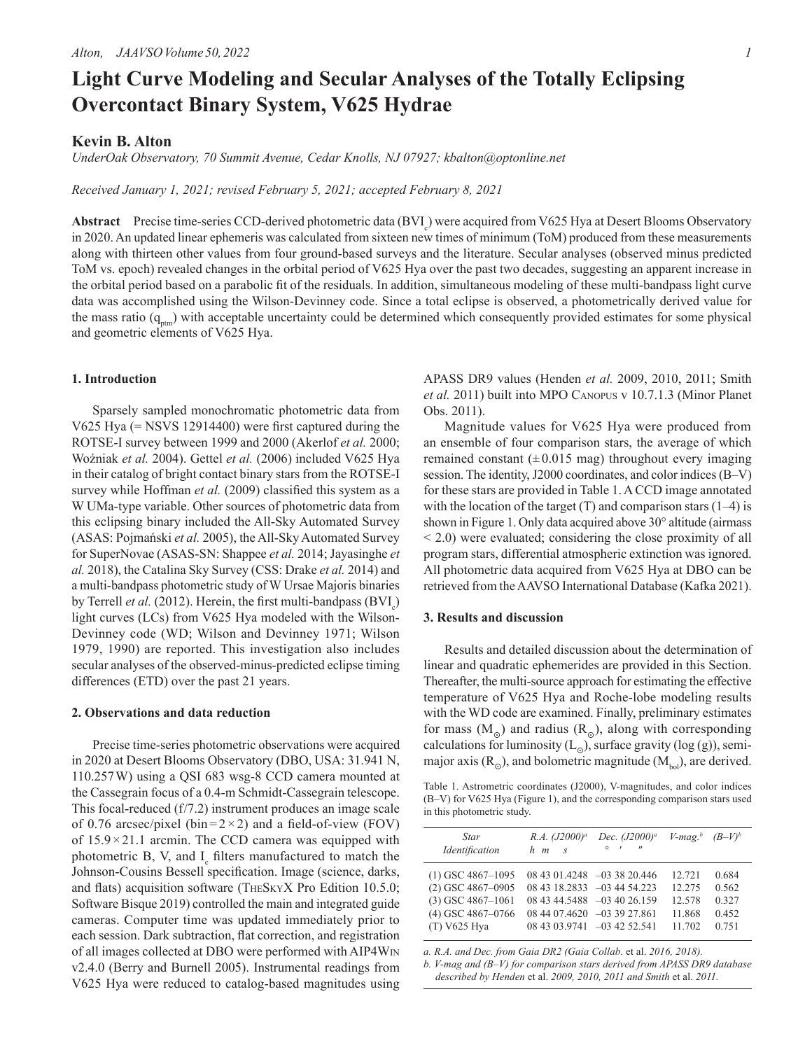# **Light Curve Modeling and Secular Analyses of the Totally Eclipsing Overcontact Binary System, V625 Hydrae**

# **Kevin B. Alton**

*UnderOak Observatory, 70 Summit Avenue, Cedar Knolls, NJ 07927; kbalton@optonline.net*

*Received January 1, 2021; revised February 5, 2021; accepted February 8, 2021*

**Abstract** Precise time-series CCD-derived photometric data (BVI<sub>c</sub>) were acquired from V625 Hya at Desert Blooms Observatory in 2020. An updated linear ephemeris was calculated from sixteen new times of minimum (ToM) produced from these measurements along with thirteen other values from four ground-based surveys and the literature. Secular analyses (observed minus predicted ToM vs. epoch) revealed changes in the orbital period of V625 Hya over the past two decades, suggesting an apparent increase in the orbital period based on a parabolic fit of the residuals. In addition, simultaneous modeling of these multi-bandpass light curve data was accomplished using the Wilson-Devinney code. Since a total eclipse is observed, a photometrically derived value for the mass ratio  $(q_{\text{atm}})$  with acceptable uncertainty could be determined which consequently provided estimates for some physical and geometric elements of V625 Hya.

## **1. Introduction**

Sparsely sampled monochromatic photometric data from V625 Hya (= NSVS 12914400) were first captured during the ROTSE-I survey between 1999 and 2000 (Akerlof *et al.* 2000; Woźniak *et al.* 2004). Gettel *et al.* (2006) included V625 Hya in their catalog of bright contact binary stars from the ROTSE-I survey while Hoffman *et al.* (2009) classified this system as a W UMa-type variable. Other sources of photometric data from this eclipsing binary included the All-Sky Automated Survey (ASAS: Pojmański *et al.* 2005), the All-Sky Automated Survey for SuperNovae (ASAS-SN: Shappee *et al.* 2014; Jayasinghe *et al.* 2018), the Catalina Sky Survey (CSS: Drake *et al.* 2014) and a multi-bandpass photometric study of W Ursae Majoris binaries by Terrell *et al.* (2012). Herein, the first multi-bandpass (BVI<sub>c</sub>) light curves (LCs) from V625 Hya modeled with the Wilson-Devinney code (WD; Wilson and Devinney 1971; Wilson 1979, 1990) are reported. This investigation also includes secular analyses of the observed-minus-predicted eclipse timing differences (ETD) over the past 21 years.

# **2. Observations and data reduction**

Precise time-series photometric observations were acquired in 2020 at Desert Blooms Observatory (DBO, USA: 31.941 N, 110.257W) using a QSI 683 wsg-8 CCD camera mounted at the Cassegrain focus of a 0.4-m Schmidt-Cassegrain telescope. This focal-reduced (f/7.2) instrument produces an image scale of 0.76 arcsec/pixel (bin= $2 \times 2$ ) and a field-of-view (FOV) of  $15.9 \times 21.1$  arcmin. The CCD camera was equipped with photometric B, V, and  $I_c$  filters manufactured to match the Johnson-Cousins Bessell specification. Image (science, darks, and flats) acquisition software (TheSkyX Pro Edition 10.5.0; Software Bisque 2019) controlled the main and integrated guide cameras. Computer time was updated immediately prior to each session. Dark subtraction, flat correction, and registration of all images collected at DBO were performed with AIP4Win v2.4.0 (Berry and Burnell 2005). Instrumental readings from V625 Hya were reduced to catalog-based magnitudes using

APASS DR9 values (Henden *et al.* 2009, 2010, 2011; Smith *et al.* 2011) built into MPO Canopus v 10.7.1.3 (Minor Planet Obs. 2011).

Magnitude values for V625 Hya were produced from an ensemble of four comparison stars, the average of which remained constant  $(\pm 0.015 \text{ mag})$  throughout every imaging session. The identity, J2000 coordinates, and color indices (B–V) for these stars are provided in Table 1. A CCD image annotated with the location of the target  $(T)$  and comparison stars  $(1-4)$  is shown in Figure 1. Only data acquired above 30° altitude (airmass < 2.0) were evaluated; considering the close proximity of all program stars, differential atmospheric extinction was ignored. All photometric data acquired from V625 Hya at DBO can be retrieved from the AAVSO International Database (Kafka 2021).

## **3. Results and discussion**

Results and detailed discussion about the determination of linear and quadratic ephemerides are provided in this Section. Thereafter, the multi-source approach for estimating the effective temperature of V625 Hya and Roche-lobe modeling results with the WD code are examined. Finally, preliminary estimates for mass  $(M<sub>o</sub>)$  and radius  $(R<sub>o</sub>)$ , along with corresponding calculations for luminosity  $(L_0)$ , surface gravity (log (g)), semimajor axis  $(R_0)$ , and bolometric magnitude  $(M_{bol})$ , are derived.

Table 1. Astrometric coordinates (J2000), V-magnitudes, and color indices (B–V) for V625 Hya (Figure 1), and the corresponding comparison stars used in this photometric study.

| Star<br>Identification                                                                                     | R.A. (J2000) <sup>a</sup><br>$h$ $m$ $s$                                                  | Dec. $(J2000)^{a}$<br>$\circ$ $\qquad$<br>$^{\prime\prime}$ | $V$ -mag. <sup>b</sup> $(B-V)^b$               |                                           |
|------------------------------------------------------------------------------------------------------------|-------------------------------------------------------------------------------------------|-------------------------------------------------------------|------------------------------------------------|-------------------------------------------|
| $(1)$ GSC 4867-1095<br>$(2)$ GSC 4867-0905<br>$(3)$ GSC 4867-1061<br>$(4)$ GSC 4867-0766<br>$(T)$ V625 Hya | 08 43 18.2833 -03 44 54.223<br>08 44 07.4620 -03 39 27.861<br>08 43 03.9741 -03 42 52.541 | $0843014248 - 033820446$<br>08 43 44.5488 -03 40 26.159     | 12.721<br>12.275<br>12.578<br>11.868<br>11 702 | 0.684<br>0.562<br>0.327<br>0.452<br>0.751 |

*a. R.A. and Dec. from Gaia DR2 (Gaia Collab.* et al. *2016, 2018).*

*b. V-mag and (B–V) for comparison stars derived from APASS DR9 database described by Henden* et al. *2009, 2010, 2011 and Smith* et al. *2011.*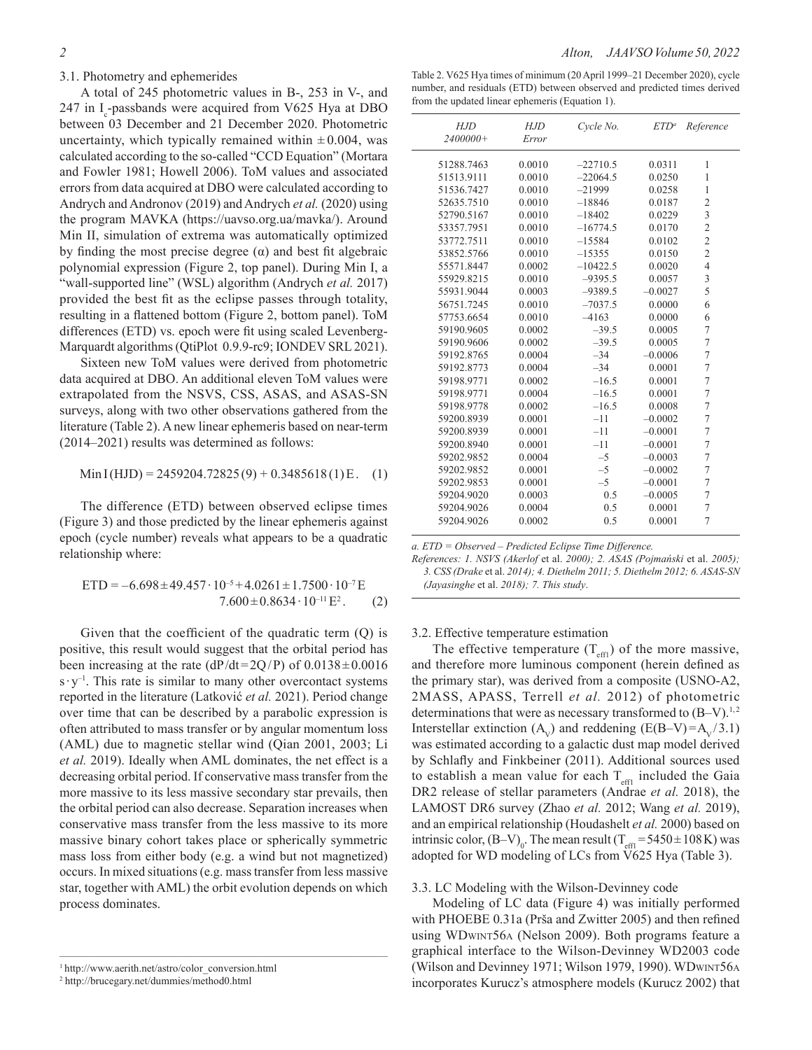# 3.1. Photometry and ephemerides

A total of 245 photometric values in B-, 253 in V-, and 247 in  $I_c$ -passbands were acquired from V625 Hya at DBO between 03 December and 21 December 2020. Photometric uncertainty, which typically remained within  $\pm 0.004$ , was calculated according to the so-called "CCD Equation" (Mortara and Fowler 1981; Howell 2006). ToM values and associated errors from data acquired at DBO were calculated according to Andrych and Andronov (2019) and Andrych *et al.* (2020) using the program MAVKA (https://uavso.org.ua/mavka/). Around Min II, simulation of extrema was automatically optimized by finding the most precise degree  $(\alpha)$  and best fit algebraic polynomial expression (Figure 2, top panel). During Min I, a "wall-supported line" (WSL) algorithm (Andrych *et al.* 2017) provided the best fit as the eclipse passes through totality, resulting in a flattened bottom (Figure 2, bottom panel). ToM differences (ETD) vs. epoch were fit using scaled Levenberg-Marquardt algorithms (QtiPlot 0.9.9-rc9; IONDEV SRL 2021).

Sixteen new ToM values were derived from photometric data acquired at DBO. An additional eleven ToM values were extrapolated from the NSVS, CSS, ASAS, and ASAS-SN surveys, along with two other observations gathered from the literature (Table 2). A new linear ephemeris based on near-term (2014–2021) results was determined as follows:

$$
Min I(HJD) = 2459204.72825(9) + 0.3485618(1)E. (1)
$$

The difference (ETD) between observed eclipse times (Figure 3) and those predicted by the linear ephemeris against epoch (cycle number) reveals what appears to be a quadratic relationship where:

$$
ETD = -6.698 \pm 49.457 \cdot 10^{-5} + 4.0261 \pm 1.7500 \cdot 10^{-7} E
$$
  
7.600 \pm 0.8634 \cdot 10^{-11} E<sup>2</sup>. (2)

Given that the coefficient of the quadratic term (Q) is positive, this result would suggest that the orbital period has been increasing at the rate  $(dP/dt=2Q/P)$  of  $0.0138\pm0.0016$  $s \cdot y^{-1}$ . This rate is similar to many other overcontact systems reported in the literature (Latković *et al.* 2021). Period change over time that can be described by a parabolic expression is often attributed to mass transfer or by angular momentum loss (AML) due to magnetic stellar wind (Qian 2001, 2003; Li *et al.* 2019). Ideally when AML dominates, the net effect is a decreasing orbital period. If conservative mass transfer from the more massive to its less massive secondary star prevails, then the orbital period can also decrease. Separation increases when conservative mass transfer from the less massive to its more massive binary cohort takes place or spherically symmetric mass loss from either body (e.g. a wind but not magnetized) occurs. In mixed situations (e.g. mass transfer from less massive star, together with AML) the orbit evolution depends on which process dominates.

 $\overline{\phantom{a}}$  , and the contract of the contract of the contract of the contract of the contract of the contract of the contract of the contract of the contract of the contract of the contract of the contract of the contrac

Table 2. V625 Hya times of minimum (20 April 1999–21 December 2020), cycle number, and residuals (ETD) between observed and predicted times derived from the updated linear ephemeris (Equation 1).

| HJD<br>2400000+ | HJD<br>Error | Cycle No.  | $ETD^a$   | Reference      |
|-----------------|--------------|------------|-----------|----------------|
|                 |              |            |           |                |
| 51288.7463      | 0.0010       | $-22710.5$ | 0.0311    | 1              |
| 51513.9111      | 0.0010       | $-22064.5$ | 0.0250    | 1              |
| 51536.7427      | 0.0010       | $-21999$   | 0.0258    | 1              |
| 52635.7510      | 0.0010       | $-18846$   | 0.0187    | $\overline{c}$ |
| 52790.5167      | 0.0010       | $-18402$   | 0.0229    | 3              |
| 53357.7951      | 0.0010       | $-16774.5$ | 0.0170    | $\overline{c}$ |
| 53772.7511      | 0.0010       | $-15584$   | 0.0102    | $\overline{2}$ |
| 53852.5766      | 0.0010       | $-15355$   | 0.0150    | $\overline{c}$ |
| 55571.8447      | 0.0002       | $-10422.5$ | 0.0020    | $\overline{4}$ |
| 55929.8215      | 0.0010       | $-9395.5$  | 0.0057    | 3              |
| 55931.9044      | 0.0003       | $-9389.5$  | $-0.0027$ | 5              |
| 56751.7245      | 0.0010       | $-7037.5$  | 0.0000    | 6              |
| 57753.6654      | 0.0010       | $-4163$    | 0.0000    | 6              |
| 59190.9605      | 0.0002       | $-39.5$    | 0.0005    | 7              |
| 59190.9606      | 0.0002       | $-39.5$    | 0.0005    | 7              |
| 59192.8765      | 0.0004       | $-34$      | $-0.0006$ | 7              |
| 59192.8773      | 0.0004       | $-34$      | 0.0001    | 7              |
| 59198.9771      | 0.0002       | $-16.5$    | 0.0001    | $\overline{7}$ |
| 59198.9771      | 0.0004       | $-16.5$    | 0.0001    | 7              |
| 59198.9778      | 0.0002       | $-16.5$    | 0.0008    | 7              |
| 59200.8939      | 0.0001       | $-11$      | $-0.0002$ | 7              |
| 59200.8939      | 0.0001       | $-11$      | $-0.0001$ | $\overline{7}$ |
| 59200.8940      | 0.0001       | $-11$      | $-0.0001$ | 7              |
| 59202.9852      | 0.0004       | $-5$       | $-0.0003$ | 7              |
| 59202.9852      | 0.0001       | $-5$       | $-0.0002$ | $\overline{7}$ |
| 59202.9853      | 0.0001       | $-5$       | $-0.0001$ | $\overline{7}$ |
| 59204.9020      | 0.0003       | 0.5        | $-0.0005$ | 7              |
| 59204.9026      | 0.0004       | 0.5        | 0.0001    | 7              |
| 59204.9026      | 0.0002       | 0.5        | 0.0001    | $\overline{7}$ |
|                 |              |            |           |                |

*a. ETD = Observed – Predicted Eclipse Time Difference.*

*References: 1. NSVS (Akerlof* et al. *2000); 2. ASAS (Pojmański* et al. *2005); 3. CSS (Drake* et al. *2014); 4. Diethelm 2011; 5. Diethelm 2012; 6. ASAS-SN (Jayasinghe* et al. *2018); 7. This study*.

# 3.2. Effective temperature estimation

The effective temperature  $(T_{\text{eff1}})$  of the more massive, and therefore more luminous component (herein defined as the primary star), was derived from a composite (USNO-A2, 2MASS, APASS, Terrell *et al.* 2012) of photometric determinations that were as necessary transformed to  $(B-V)^{1,2}$ Interstellar extinction  $(A_v)$  and reddening  $(E(B-V)=A_v / 3.1)$ was estimated according to a galactic dust map model derived by Schlafly and Finkbeiner (2011). Additional sources used to establish a mean value for each  $T_{\text{eff1}}$  included the Gaia DR2 release of stellar parameters (Andrae *et al.* 2018), the LAMOST DR6 survey (Zhao *et al.* 2012; Wang *et al.* 2019), and an empirical relationship (Houdashelt *et al.* 2000) based on intrinsic color,  $(B-V)_{0}$ . The mean result (T<sub>eff1</sub>=5450±108K) was adopted for WD modeling of LCs from V625 Hya (Table 3).

# 3.3. LC Modeling with the Wilson-Devinney code

Modeling of LC data (Figure 4) was initially performed with PHOEBE 0.31a (Prša and Zwitter 2005) and then refined using WDwint56a (Nelson 2009). Both programs feature a graphical interface to the Wilson-Devinney WD2003 code (Wilson and Devinney 1971; Wilson 1979, 1990). WDwint56a incorporates Kurucz's atmosphere models (Kurucz 2002) that

<sup>1</sup> http://www.aerith.net/astro/color\_conversion.html

<sup>2</sup> http://brucegary.net/dummies/method0.html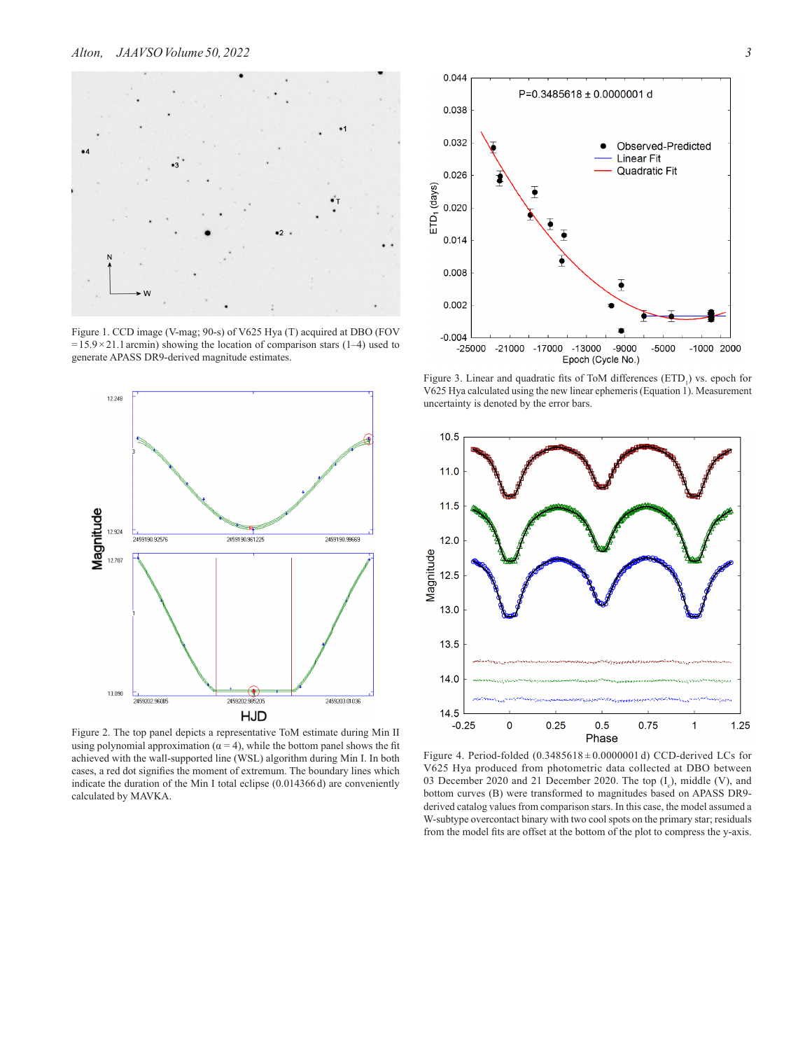

Figure 1. CCD image (V-mag; 90-s) of V625 Hya (T) acquired at DBO (FOV  $=15.9\times21.1$  arcmin) showing the location of comparison stars (1–4) used to generate APASS DR9-derived magnitude estimates.



Figure 2. The top panel depicts a representative ToM estimate during Min II using polynomial approximation ( $\alpha = 4$ ), while the bottom panel shows the fit achieved with the wall-supported line (WSL) algorithm during Min I. In both cases, a red dot signifies the moment of extremum. The boundary lines which indicate the duration of the Min I total eclipse (0.014366 d) are conveniently calculated by MAVKA.



Figure 3. Linear and quadratic fits of ToM differences  $(ETD<sub>1</sub>)$  vs. epoch for V625 Hya calculated using the new linear ephemeris (Equation 1). Measurement uncertainty is denoted by the error bars.



Figure 4. Period-folded  $(0.3485618 \pm 0.0000001 \text{ d})$  CCD-derived LCs for V625 Hya produced from photometric data collected at DBO between 03 December 2020 and 21 December 2020. The top  $(I_c)$ , middle (V), and bottom curves (B) were transformed to magnitudes based on APASS DR9 derived catalog values from comparison stars. In this case, the model assumed a W-subtype overcontact binary with two cool spots on the primary star; residuals from the model fits are offset at the bottom of the plot to compress the y-axis.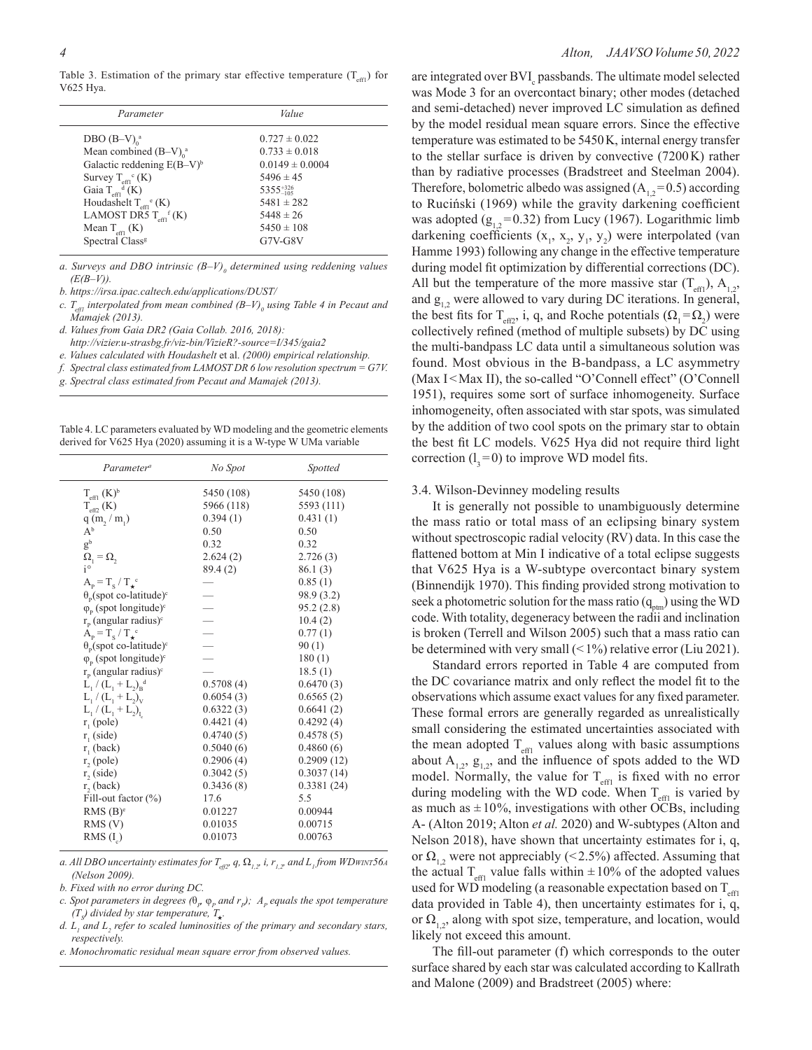Table 3. Estimation of the primary star effective temperature  $(T_{\text{eff}})$  for V625 Hya.

| Parameter                                    | Value                |
|----------------------------------------------|----------------------|
| DBO $(B-V)$ <sup>a</sup>                     | $0.727 \pm 0.022$    |
| Mean combined $(B-V)$ <sup>a</sup>           | $0.733 \pm 0.018$    |
| Galactic reddening $E(B-V)^b$                | $0.0149 \pm 0.0004$  |
| Survey $T_{\text{eff}^{\circ}}(K)$           | $5496 \pm 45$        |
| Gaia $T_{\text{eff}}^{\text{d}}(K)$          | $5355_{-105}^{+326}$ |
| Houdashelt $T_{\text{eff}^e}$ (K)            | $5481 \pm 282$       |
| LAMOST DR5 $T_{\text{eff}}$ <sup>f</sup> (K) | $5448 \pm 26$        |
| Mean $T_{\text{eff}}$ (K)                    | $5450 \pm 108$       |
| Spectral Class <sup>8</sup>                  | $G7V-G8V$            |

a. Surveys and DBO intrinsic  $(B-V)$ <sub>0</sub> determined using reddening values *(E(B–V)).*

- *b. https://irsa.ipac.caltech.edu/applications/DUST/*
- *c.*  $T_{\text{eff1}}$  interpolated from mean combined (B–V)<sub>0</sub> using Table 4 in Pecaut and *Mamajek (2013).*
- *d. Values from Gaia DR2 (Gaia Collab. 2016, 2018): http://vizier.u-strasbg.fr/viz-bin/VizieR?-source=I/345/gaia2*
- *e. Values calculated with Houdashelt* et al. *(2000) empirical relationship.*
- *f. Spectral class estimated from LAMOST DR 6 low resolution spectrum = G7V.*
- *g. Spectral class estimated from Pecaut and Mamajek (2013).*

Table 4. LC parameters evaluated by WD modeling and the geometric elements derived for V625 Hya (2020) assuming it is a W-type W UMa variable

| Parameter <sup>a</sup>                          | No Spot                  | <i>Spotted</i> |
|-------------------------------------------------|--------------------------|----------------|
| $T_{\text{eff1}}$ (K) <sup>b</sup>              | 5450 (108)               | 5450 (108)     |
| $T_{\text{eff2}}$ (K)                           | 5966 (118)               | 5593 (111)     |
| q(m, / m)                                       | 0.394(1)                 | 0.431(1)       |
| $\mathrm{A}^{\rm b}$                            | 0.50                     | 0.50           |
| $g^b$                                           | 0.32                     | 0.32           |
| $\Omega_1 = \Omega_2$                           | 2.624(2)                 | 2.726(3)       |
| $i^{\circ}$                                     | 89.4(2)                  | 86.1(3)        |
| $A_p = T_s / T_{\star}^c$                       |                          | 0.85(1)        |
| $\theta_{p}$ (spot co-latitude) <sup>c</sup>    |                          | 98.9 (3.2)     |
| $\varphi_{\rm p}$ (spot longitude) <sup>c</sup> |                          | 95.2(2.8)      |
| $r_p$ (angular radius) <sup>c</sup>             |                          | 10.4(2)        |
| $A_p = T_s / T_*^c$                             | $\overline{\phantom{0}}$ | 0.77(1)        |
| $\theta_{p}$ (spot co-latitude) <sup>c</sup>    |                          | 90(1)          |
| $\varphi_{\rm p}$ (spot longitude) <sup>c</sup> |                          | 180(1)         |
| $r_p$ (angular radius) <sup>c</sup>             |                          | 18.5(1)        |
| $L_1 / (L_1 + L_2)_p^d$                         | 0.5708(4)                | 0.6470(3)      |
| $L_1 / (L_1 + L_2)_V$                           | 0.6054(3)                | 0.6565(2)      |
| $L_1 / (L_1 + L_2)_{L_1}$                       | 0.6322(3)                | 0.6641(2)      |
| $r_{1}$ (pole)                                  | 0.4421(4)                | 0.4292(4)      |
| $r_{1}$ (side)                                  | 0.4740(5)                | 0.4578(5)      |
| $r_{1}$ (back)                                  | 0.5040(6)                | 0.4860(6)      |
| $r2$ (pole)                                     | 0.2906(4)                | 0.2909(12)     |
| $r2$ (side)                                     | 0.3042(5)                | 0.3037(14)     |
| $r2$ (back)                                     | 0.3436(8)                | 0.3381(24)     |
| Fill-out factor $(\%)$                          | 17.6                     | 5.5            |
| RMS(B) <sup>e</sup>                             | 0.01227                  | 0.00944        |
| $RMS$ (V)                                       | 0.01035                  | 0.00715        |
| $RMS(I_0)$                                      | 0.01073                  | 0.00763        |

*a. All DBO uncertainty estimates for Teff2, q,* Ω*1,2, i, r1,2, and L1 from WDwint56a (Nelson 2009).*

*b. Fixed with no error during DC.*

- *c. Spot parameters in degrees* ( $\theta_p$   $\phi_p$  *and r<sub>p</sub>);*  $A_p$  *equals the spot temperature*  $(T<sub>s</sub>)$  divided by star temperature,  $T<sub>star</sub>$ .
- *d. L1 and L2 refer to scaled luminosities of the primary and secondary stars, respectively.*
- *e. Monochromatic residual mean square error from observed values.*

#### *4 Alton, JAAVSOVolume 50,2022*

are integrated over BVI<sub>c</sub> passbands. The ultimate model selected was Mode 3 for an overcontact binary; other modes (detached and semi-detached) never improved LC simulation as defined by the model residual mean square errors. Since the effective temperature was estimated to be 5450K, internal energy transfer to the stellar surface is driven by convective (7200K) rather than by radiative processes (Bradstreet and Steelman 2004). Therefore, bolometric albedo was assigned  $(A_{1,2}=0.5)$  according to Ruciński (1969) while the gravity darkening coefficient was adopted  $(g_{12}=0.32)$  from Lucy (1967). Logarithmic limb darkening coefficients  $(x_1, x_2, y_1, y_2)$  were interpolated (van Hamme 1993) following any change in the effective temperature during model fit optimization by differential corrections (DC). All but the temperature of the more massive star  $(T_{\text{eff}})$ ,  $A_{1,2}$ , and  $g_{12}$  were allowed to vary during DC iterations. In general, the best fits for T<sub>eff2</sub>, i, q, and Roche potentials  $(\Omega_1 = \Omega_2)$  were collectively refined (method of multiple subsets) by DC using the multi-bandpass LC data until a simultaneous solution was found. Most obvious in the B-bandpass, a LC asymmetry (Max I<Max II), the so-called "O'Connell effect" (O'Connell 1951), requires some sort of surface inhomogeneity. Surface inhomogeneity, often associated with star spots, was simulated by the addition of two cool spots on the primary star to obtain the best fit LC models. V625 Hya did not require third light correction  $(l_2=0)$  to improve WD model fits.

#### 3.4. Wilson-Devinney modeling results

It is generally not possible to unambiguously determine the mass ratio or total mass of an eclipsing binary system without spectroscopic radial velocity (RV) data. In this case the flattened bottom at Min I indicative of a total eclipse suggests that V625 Hya is a W-subtype overcontact binary system (Binnendijk 1970). This finding provided strong motivation to seek a photometric solution for the mass ratio  $(q_{\text{atm}})$  using the WD code. With totality, degeneracy between the radii and inclination is broken (Terrell and Wilson 2005) such that a mass ratio can be determined with very small  $($  < 1%) relative error (Liu 2021).

Standard errors reported in Table 4 are computed from the DC covariance matrix and only reflect the model fit to the observations which assume exact values for any fixed parameter. These formal errors are generally regarded as unrealistically small considering the estimated uncertainties associated with the mean adopted  $T_{\text{eff1}}$  values along with basic assumptions about  $A_{1,2}$ ,  $g_{1,2}$ , and the influence of spots added to the WD model. Normally, the value for  $T_{\text{eff1}}$  is fixed with no error during modeling with the WD code. When  $T_{\text{eff1}}$  is varied by as much as  $\pm 10\%$ , investigations with other OCBs, including A- (Alton 2019; Alton *et al.* 2020) and W-subtypes (Alton and Nelson 2018), have shown that uncertainty estimates for i, q, or  $\Omega_1$ , were not appreciably (<2.5%) affected. Assuming that the actual  $T_{\text{eff1}}$  value falls within  $\pm 10\%$  of the adopted values used for WD modeling (a reasonable expectation based on  $T_{\text{eff}}$ data provided in Table 4), then uncertainty estimates for i, q, or  $\Omega_1$ , along with spot size, temperature, and location, would likely not exceed this amount.

The fill-out parameter (f) which corresponds to the outer surface shared by each star was calculated according to Kallrath and Malone (2009) and Bradstreet (2005) where: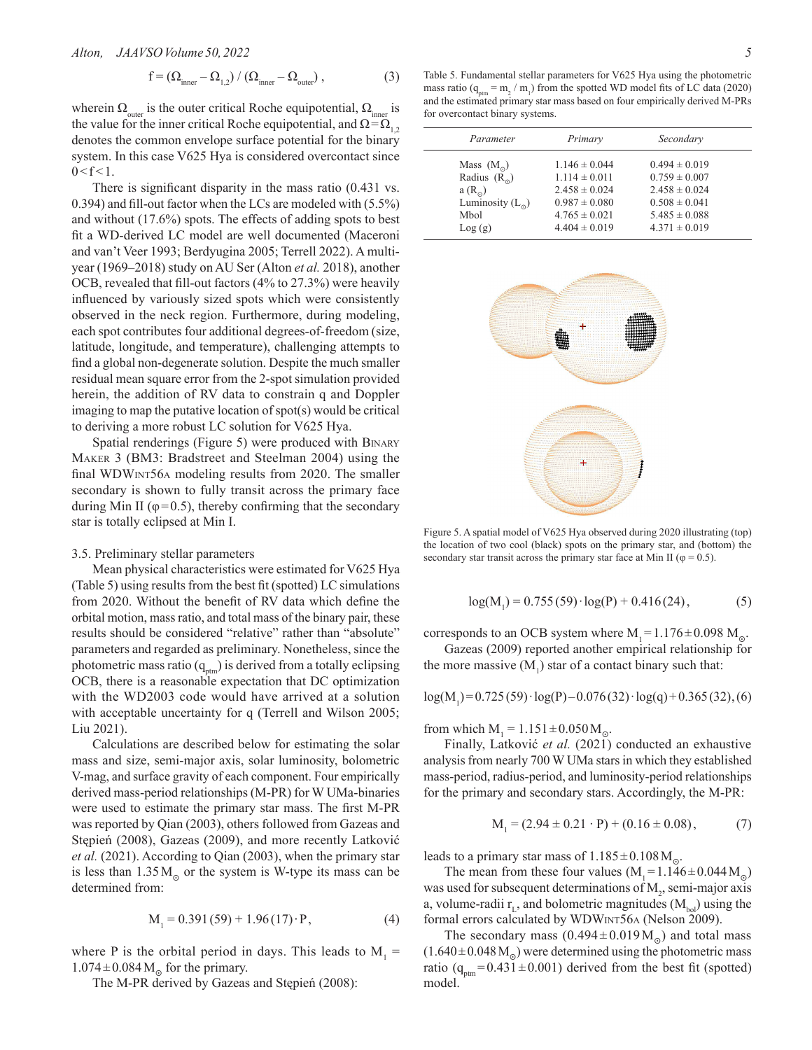$$
f = \left(\Omega_{\text{inner}} - \Omega_{1,2}\right) / \left(\Omega_{\text{inner}} - \Omega_{\text{outer}}\right),\tag{3}
$$

wherein  $\Omega_{\text{outer}}$  is the outer critical Roche equipotential,  $\Omega_{\text{inner}}$  is the value for the inner critical Roche equipotential, and  $\Omega = \Omega_{1,2}$ denotes the common envelope surface potential for the binary system. In this case V625 Hya is considered overcontact since  $0 < f < 1$ .

There is significant disparity in the mass ratio (0.431 vs. 0.394) and fill-out factor when the LCs are modeled with (5.5%) and without (17.6%) spots. The effects of adding spots to best fit a WD-derived LC model are well documented (Maceroni and van't Veer 1993; Berdyugina 2005; Terrell 2022). A multiyear (1969–2018) study on AU Ser (Alton *et al.* 2018), another OCB, revealed that fill-out factors (4% to 27.3%) were heavily influenced by variously sized spots which were consistently observed in the neck region. Furthermore, during modeling, each spot contributes four additional degrees-of-freedom (size, latitude, longitude, and temperature), challenging attempts to find a global non-degenerate solution. Despite the much smaller residual mean square error from the 2-spot simulation provided herein, the addition of RV data to constrain q and Doppler imaging to map the putative location of spot(s) would be critical to deriving a more robust LC solution for V625 Hya.

Spatial renderings (Figure 5) were produced with Binary Maker 3 (BM3: Bradstreet and Steelman 2004) using the final WDWint56a modeling results from 2020. The smaller secondary is shown to fully transit across the primary face during Min II ( $\varphi$ =0.5), thereby confirming that the secondary star is totally eclipsed at Min I.

## 3.5. Preliminary stellar parameters

Mean physical characteristics were estimated for V625 Hya (Table 5) using results from the best fit (spotted) LC simulations from 2020. Without the benefit of RV data which define the orbital motion, mass ratio, and total mass of the binary pair, these results should be considered "relative" rather than "absolute" parameters and regarded as preliminary. Nonetheless, since the photometric mass ratio  $(q_{\text{atm}})$  is derived from a totally eclipsing OCB, there is a reasonable expectation that DC optimization with the WD2003 code would have arrived at a solution with acceptable uncertainty for q (Terrell and Wilson 2005; Liu 2021).

Calculations are described below for estimating the solar mass and size, semi-major axis, solar luminosity, bolometric V-mag, and surface gravity of each component. Four empirically derived mass-period relationships (M-PR) for W UMa-binaries were used to estimate the primary star mass. The first M-PR was reported by Qian (2003), others followed from Gazeas and Stępień (2008), Gazeas (2009), and more recently Latković *et al.* (2021). According to Qian (2003), when the primary star is less than  $1.35 M_{\odot}$  or the system is W-type its mass can be determined from:

$$
M_1 = 0.391(59) + 1.96(17) \cdot P, \tag{4}
$$

where P is the orbital period in days. This leads to  $M_1 =$  $1.074 \pm 0.084$  M<sub>o</sub> for the primary.

The M-PR derived by Gazeas and Stępień (2008):

Table 5. Fundamental stellar parameters for V625 Hya using the photometric mass ratio ( $q_{\text{ptm}} = m_2 / m_1$ ) from the spotted WD model fits of LC data (2020) and the estimated primary star mass based on four empirically derived M-PRs for overcontact binary systems.

| Parameter          | Primary           | Secondary         |
|--------------------|-------------------|-------------------|
| Mass $(M_0)$       | $1.146 \pm 0.044$ | $0.494 \pm 0.019$ |
| Radius $(R_0)$     | $1.114 \pm 0.011$ | $0.759 \pm 0.007$ |
| $a(R_{\odot})$     | $2.458 \pm 0.024$ | $2.458 \pm 0.024$ |
| Luminosity $(L_0)$ | $0.987 \pm 0.080$ | $0.508 \pm 0.041$ |
| Mbol               | $4.765 \pm 0.021$ | $5.485 \pm 0.088$ |
| Log(g)             | $4.404 \pm 0.019$ | $4.371 \pm 0.019$ |



Figure 5. A spatial model of V625 Hya observed during 2020 illustrating (top) the location of two cool (black) spots on the primary star, and (bottom) the secondary star transit across the primary star face at Min II ( $\varphi = 0.5$ ).

$$
log(M1) = 0.755(59) \cdot log(P) + 0.416(24),
$$
 (5)

corresponds to an OCB system where  $M_1 = 1.176 \pm 0.098$   $M_0$ .

Gazeas (2009) reported another empirical relationship for the more massive  $(M_1)$  star of a contact binary such that:

$$
log(M_1) = 0.725(59) \cdot log(P) - 0.076(32) \cdot log(q) + 0.365(32), (6)
$$

from which  $M_1 = 1.151 \pm 0.050 M_{\odot}$ .

Finally, Latković *et al.* (2021) conducted an exhaustive analysis from nearly 700 W UMa stars in which they established mass-period, radius-period, and luminosity-period relationships for the primary and secondary stars. Accordingly, the M-PR:

$$
M_1 = (2.94 \pm 0.21 \cdot P) + (0.16 \pm 0.08), \tag{7}
$$

leads to a primary star mass of  $1.185 \pm 0.108$  M<sub>o</sub>.

The mean from these four values  $(M_1=1.146\pm0.044 M_0)$ was used for subsequent determinations of  $M_2$ , semi-major axis a, volume-radii  $r_{\text{L}}$ , and bolometric magnitudes  $(M_{\text{bol}})$  using the formal errors calculated by WDWint56a (Nelson 2009).

The secondary mass  $(0.494 \pm 0.019 M_{\odot})$  and total mass  $(1.640 \pm 0.048 \,\mathrm{M}_{\odot})$  were determined using the photometric mass ratio ( $q_{\text{ptm}}$ =0.431±0.001) derived from the best fit (spotted) model.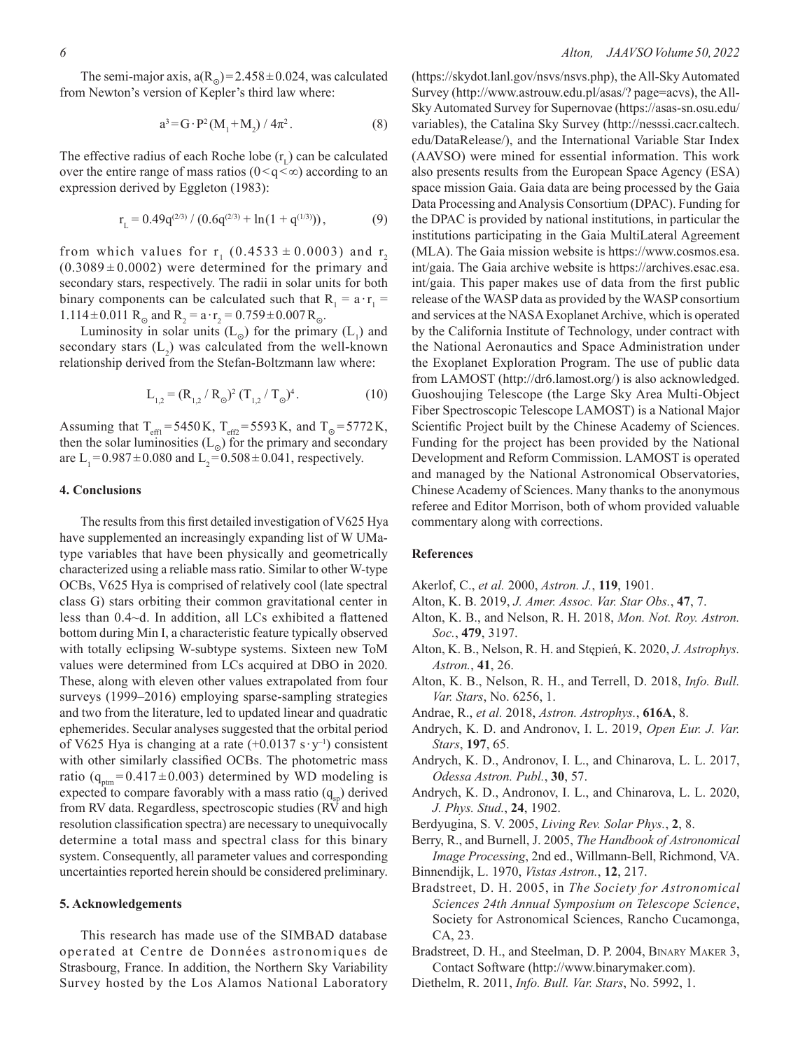The semi-major axis,  $a(R_{\odot})=2.458\pm0.024$ , was calculated from Newton's version of Kepler's third law where:

$$
a^{3} = G \cdot P^{2} (M_{1} + M_{2}) / 4\pi^{2}. \qquad (8)
$$

The effective radius of each Roche lobe  $(r<sub>r</sub>)$  can be calculated over the entire range of mass ratios ( $0 \leq q \leq \infty$ ) according to an expression derived by Eggleton (1983):

$$
r_{L} = 0.49q^{(2/3)}/(0.6q^{(2/3)} + \ln(1 + q^{(1/3)})),
$$
\n(9)

from which values for  $r_1$  (0.4533  $\pm$  0.0003) and  $r_2$  $(0.3089 \pm 0.0002)$  were determined for the primary and secondary stars, respectively. The radii in solar units for both binary components can be calculated such that  $R_1 = a \cdot r_1 =$ 1.114  $\pm$  0.011 R<sub>o</sub> and R<sub>2</sub> = a·r<sub>2</sub> = 0.759  $\pm$  0.007 R<sub>o</sub>.

Luminosity in solar units  $(L_0)$  for the primary  $(L_1)$  and secondary stars  $(L_2)$  was calculated from the well-known relationship derived from the Stefan-Boltzmann law where:

$$
L_{1,2} = (R_{1,2} / R_{\odot})^2 (T_{1,2} / T_{\odot})^4.
$$
 (10)

Assuming that T<sub>eff1</sub>=5450K, T<sub>eff2</sub>=5593K, and T<sub>o</sub>=5772K, then the solar luminosities  $(L_{\odot})$  for the primary and secondary are L<sub>1</sub>=0.987 $\pm$ 0.080 and L<sub>2</sub>=0.508 $\pm$ 0.041, respectively.

# **4. Conclusions**

The results from this first detailed investigation of V625 Hya have supplemented an increasingly expanding list of W UMatype variables that have been physically and geometrically characterized using a reliable mass ratio. Similar to other W-type OCBs, V625 Hya is comprised of relatively cool (late spectral class G) stars orbiting their common gravitational center in less than 0.4~d. In addition, all LCs exhibited a flattened bottom during Min I, a characteristic feature typically observed with totally eclipsing W-subtype systems. Sixteen new ToM values were determined from LCs acquired at DBO in 2020. These, along with eleven other values extrapolated from four surveys (1999–2016) employing sparse-sampling strategies and two from the literature, led to updated linear and quadratic ephemerides. Secular analyses suggested that the orbital period of V625 Hya is changing at a rate  $(+0.0137 \text{ s} \cdot \text{y}^{-1})$  consistent with other similarly classified OCBs. The photometric mass ratio ( $q_{\text{ptm}} = 0.417 \pm 0.003$ ) determined by WD modeling is expected to compare favorably with a mass ratio  $(q_{sn})$  derived from RV data. Regardless, spectroscopic studies (RV and high resolution classification spectra) are necessary to unequivocally determine a total mass and spectral class for this binary system. Consequently, all parameter values and corresponding uncertainties reported herein should be considered preliminary.

# **5. Acknowledgements**

This research has made use of the SIMBAD database operated at Centre de Données astronomiques de Strasbourg, France. In addition, the Northern Sky Variability Survey hosted by the Los Alamos National Laboratory

(https://skydot.lanl.gov/nsvs/nsvs.php), the All-Sky Automated Survey (http://www.astrouw.edu.pl/asas/? page=acvs), the All-Sky Automated Survey for Supernovae (https://asas-sn.osu.edu/ variables), the Catalina Sky Survey (http://nesssi.cacr.caltech. edu/DataRelease/), and the International Variable Star Index (AAVSO) were mined for essential information. This work also presents results from the European Space Agency (ESA) space mission Gaia. Gaia data are being processed by the Gaia Data Processing and Analysis Consortium (DPAC). Funding for the DPAC is provided by national institutions, in particular the institutions participating in the Gaia MultiLateral Agreement (MLA). The Gaia mission website is https://www.cosmos.esa. int/gaia. The Gaia archive website is https://archives.esac.esa. int/gaia. This paper makes use of data from the first public release of the WASP data as provided by the WASP consortium and services at the NASA Exoplanet Archive, which is operated by the California Institute of Technology, under contract with the National Aeronautics and Space Administration under the Exoplanet Exploration Program. The use of public data from LAMOST (http://dr6.lamost.org/) is also acknowledged. Guoshoujing Telescope (the Large Sky Area Multi-Object Fiber Spectroscopic Telescope LAMOST) is a National Major Scientific Project built by the Chinese Academy of Sciences. Funding for the project has been provided by the National Development and Reform Commission. LAMOST is operated and managed by the National Astronomical Observatories, Chinese Academy of Sciences. Many thanks to the anonymous referee and Editor Morrison, both of whom provided valuable commentary along with corrections.

## **References**

- Akerlof, C., *et al.* 2000, *Astron. J.*, **119**, 1901.
- Alton, K. B. 2019, *J. Amer. Assoc. Var. Star Obs.*, **47**, 7.
- Alton, K. B., and Nelson, R. H. 2018, *Mon. Not. Roy. Astron. Soc.*, **479**, 3197.
- Alton, K. B., Nelson, R. H. and Stępień, K. 2020, *J. Astrophys. Astron.*, **41**, 26.
- Alton, K. B., Nelson, R. H., and Terrell, D. 2018, *Info. Bull. Var. Stars*, No. 6256, 1.
- Andrae, R., *et al.* 2018, *Astron. Astrophys.*, **616A**, 8.
- Andrych, K. D. and Andronov, I. L. 2019, *Open Eur. J. Var. Stars*, **197**, 65.
- Andrych, K. D., Andronov, I. L., and Chinarova, L. L. 2017, *Odessa Astron. Publ.*, **30**, 57.
- Andrych, K. D., Andronov, I. L., and Chinarova, L. L. 2020, *J. Phys. Stud.*, **24**, 1902.
- Berdyugina, S. V. 2005, *Living Rev. Solar Phys.*, **2**, 8.
- Berry, R., and Burnell, J. 2005, *The Handbook of Astronomical Image Processing*, 2nd ed., Willmann-Bell, Richmond, VA.
- Binnendijk, L. 1970, *Vistas Astron.*, **12**, 217.
- Bradstreet, D. H. 2005, in *The Society for Astronomical Sciences 24th Annual Symposium on Telescope Science*, Society for Astronomical Sciences, Rancho Cucamonga, CA, 23.
- Bradstreet, D. H., and Steelman, D. P. 2004, Binary Maker 3, Contact Software (http://www.binarymaker.com).
- Diethelm, R. 2011, *Info. Bull. Var. Stars*, No. 5992, 1.